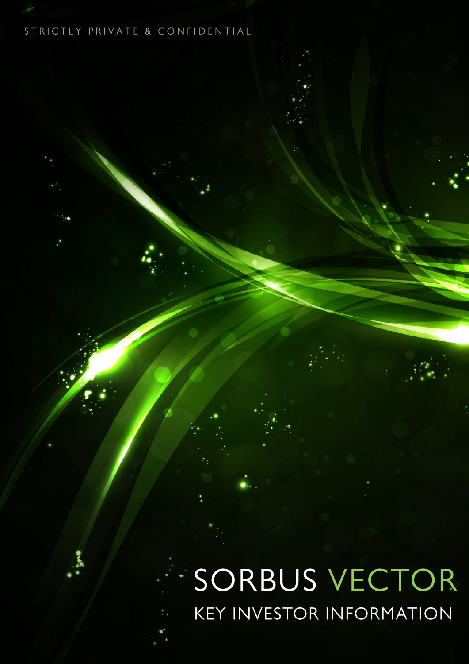# STRICTLY PRIVATE & CONFIDENTIAL

# SORBUS VECTOR **KEY INVESTOR INFORMATION**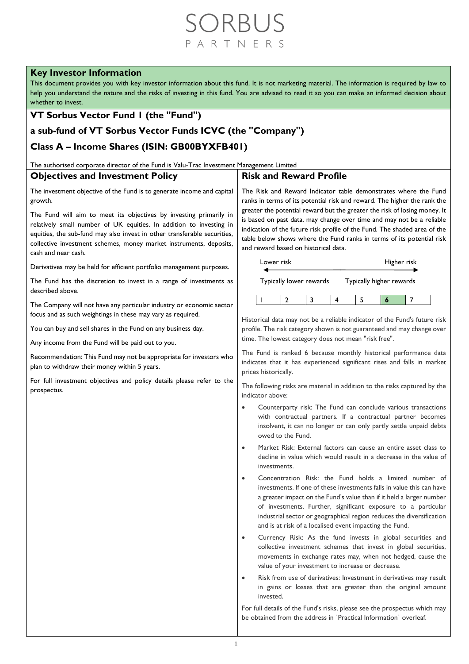# RBI R T N F R

## **Key Investor Information**

This document provides you with key investor information about this fund. It is not marketing material. The information is required by law to help you understand the nature and the risks of investing in this fund. You are advised to read it so you can make an informed decision about whether to invest.

# **VT Sorbus Vector Fund 1 (the "Fund")**

# **a sub-fund of VT Sorbus Vector Funds ICVC (the "Company")**

# **Class A – Income Shares (ISIN: GB00BYXFB401)**

The authorised corporate director of the Fund is Valu-Trac Investment Management Limited

#### **Objectives and Investment Policy** The investment objective of the Fund is to generate income and capital growth. The Fund will aim to meet its objectives by investing primarily in relatively small number of UK equities. In addition to investing in equities, the sub-fund may also invest in other transferable securities, collective investment schemes, money market instruments, deposits, cash and near cash. Derivatives may be held for efficient portfolio management purposes. The Fund has the discretion to invest in a range of investments as described above. The Company will not have any particular industry or economic sector focus and as such weightings in these may vary as required. You can buy and sell shares in the Fund on any business day. Any income from the Fund will be paid out to you. Recommendation: This Fund may not be appropriate for investors who plan to withdraw their money within 5 years. For full investment objectives and policy details please refer to the prospectus. **Risk and Reward Profile** The Risk and Reward Indicator table demonstrates where the Fund ranks in terms of its potential risk and reward. The higher the rank the greater the potential reward but the greater the risk of losing money. It is based on past data, may change over time and may not be a reliable indication of the future risk profile of the Fund. The shaded area of the table below shows where the Fund ranks in terms of its potential risk and reward based on historical data. Lower risk Typically lower rewards Higher risk Ξ Typically higher rewards 1 2 3 4 5 **6** 7 Historical data may not be a reliable indicator of the Fund's future risk profile. The risk category shown is not guaranteed and may change over time. The lowest category does not mean "risk free". The Fund is ranked 6 because monthly historical performance data indicates that it has experienced significant rises and falls in market prices historically. The following risks are material in addition to the risks captured by the indicator above: • Counterparty risk: The Fund can conclude various transactions with contractual partners. If a contractual partner becomes insolvent, it can no longer or can only partly settle unpaid debts owed to the Fund. • Market Risk: External factors can cause an entire asset class to decline in value which would result in a decrease in the value of investments. • Concentration Risk: the Fund holds a limited number of investments. If one of these investments falls in value this can have a greater impact on the Fund's value than if it held a larger number of investments. Further, significant exposure to a particular industrial sector or geographical region reduces the diversification and is at risk of a localised event impacting the Fund. • Currency Risk: As the fund invests in global securities and collective investment schemes that invest in global securities, movements in exchange rates may, when not hedged, cause the value of your investment to increase or decrease. • Risk from use of derivatives: Investment in derivatives may result in gains or losses that are greater than the original amount invested.

For full details of the Fund's risks, please see the prospectus which may be obtained from the address in `Practical Information` overleaf.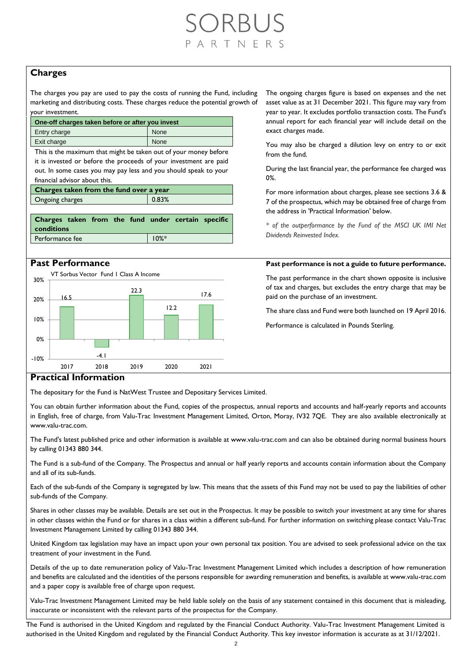# RBUS RTNFRS

### **Charges**

The charges you pay are used to pay the costs of running the Fund, including marketing and distributing costs. These charges reduce the potential growth of your investment.

| One-off charges taken before or after you invest |      |  |  |  |
|--------------------------------------------------|------|--|--|--|
| Entry charge                                     | None |  |  |  |
| Exit charge                                      | None |  |  |  |

This is the maximum that might be taken out of your money before it is invested or before the proceeds of your investment are paid out. In some cases you may pay less and you should speak to your financial advisor about this.

**Charges taken from the fund over a year**

Ongoing charges **0.83%** 

| Charges taken from the fund under certain specific<br><b>conditions</b> |  |          |  |
|-------------------------------------------------------------------------|--|----------|--|
| Performance fee                                                         |  | $10\%$ * |  |



The ongoing charges figure is based on expenses and the net asset value as at 31 December 2021. This figure may vary from year to year. It excludes portfolio transaction costs. The Fund's annual report for each financial year will include detail on the exact charges made.

You may also be charged a dilution levy on entry to or exit from the fund.

During the last financial year, the performance fee charged was 0%.

For more information about charges, please see sections 3.6 & 7 of the prospectus, which may be obtained free of charge from the address in 'Practical Information' below.

*\* of the outperformance by the Fund of the MSCI UK IMI Net Dividends Reinvested Index.*

### **Past Performance Past performance is not a guide to future performance.**

The past performance in the chart shown opposite is inclusive of tax and charges, but excludes the entry charge that may be paid on the purchase of an investment.

The share class and Fund were both launched on 19 April 2016.

Performance is calculated in Pounds Sterling.

### **Practical Information**

The depositary for the Fund is NatWest Trustee and Depositary Services Limited.

You can obtain further information about the Fund, copies of the prospectus, annual reports and accounts and half-yearly reports and accounts in English, free of charge, from Valu-Trac Investment Management Limited, Orton, Moray, IV32 7QE. They are also available electronically at www.valu-trac.com.

The Fund's latest published price and other information is available at www.valu-trac.com and can also be obtained during normal business hours by calling 01343 880 344.

The Fund is a sub-fund of the Company. The Prospectus and annual or half yearly reports and accounts contain information about the Company and all of its sub-funds.

Each of the sub-funds of the Company is segregated by law. This means that the assets of this Fund may not be used to pay the liabilities of other sub-funds of the Company.

Shares in other classes may be available. Details are set out in the Prospectus. It may be possible to switch your investment at any time for shares in other classes within the Fund or for shares in a class within a different sub-fund. For further information on switching please contact Valu-Trac Investment Management Limited by calling 01343 880 344.

United Kingdom tax legislation may have an impact upon your own personal tax position. You are advised to seek professional advice on the tax treatment of your investment in the Fund.

Details of the up to date remuneration policy of Valu-Trac Investment Management Limited which includes a description of how remuneration and benefits are calculated and the identities of the persons responsible for awarding remuneration and benefits, is available at www.valu-trac.com and a paper copy is available free of charge upon request.

Valu-Trac Investment Management Limited may be held liable solely on the basis of any statement contained in this document that is misleading, inaccurate or inconsistent with the relevant parts of the prospectus for the Company.

The Fund is authorised in the United Kingdom and regulated by the Financial Conduct Authority. Valu-Trac Investment Management Limited is authorised in the United Kingdom and regulated by the Financial Conduct Authority. This key investor information is accurate as at 31/12/2021.